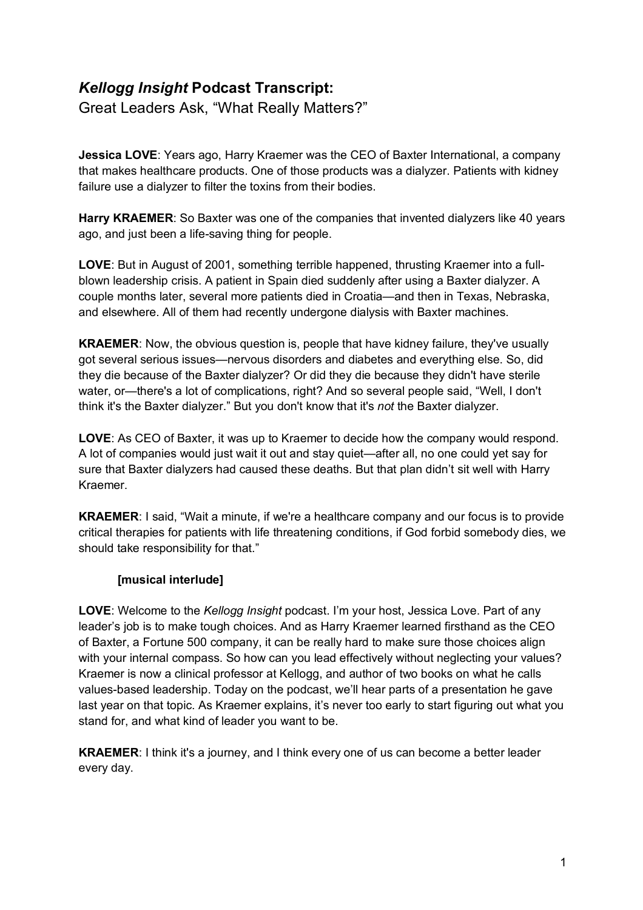## *Kellogg Insight* **Podcast Transcript:**

Great Leaders Ask, "What Really Matters?"

**Jessica LOVE**: Years ago, Harry Kraemer was the CEO of Baxter International, a company that makes healthcare products. One of those products was a dialyzer. Patients with kidney failure use a dialyzer to filter the toxins from their bodies.

**Harry KRAEMER**: So Baxter was one of the companies that invented dialyzers like 40 years ago, and just been a life-saving thing for people.

**LOVE**: But in August of 2001, something terrible happened, thrusting Kraemer into a fullblown leadership crisis. A patient in Spain died suddenly after using a Baxter dialyzer. A couple months later, several more patients died in Croatia—and then in Texas, Nebraska, and elsewhere. All of them had recently undergone dialysis with Baxter machines.

**KRAEMER**: Now, the obvious question is, people that have kidney failure, they've usually got several serious issues—nervous disorders and diabetes and everything else. So, did they die because of the Baxter dialyzer? Or did they die because they didn't have sterile water, or—there's a lot of complications, right? And so several people said, "Well, I don't think it's the Baxter dialyzer." But you don't know that it's *not* the Baxter dialyzer.

**LOVE**: As CEO of Baxter, it was up to Kraemer to decide how the company would respond. A lot of companies would just wait it out and stay quiet—after all, no one could yet say for sure that Baxter dialyzers had caused these deaths. But that plan didn't sit well with Harry Kraemer.

**KRAEMER**: I said, "Wait a minute, if we're a healthcare company and our focus is to provide critical therapies for patients with life threatening conditions, if God forbid somebody dies, we should take responsibility for that."

## **[musical interlude]**

**LOVE**: Welcome to the *Kellogg Insight* podcast. I'm your host, Jessica Love. Part of any leader's job is to make tough choices. And as Harry Kraemer learned firsthand as the CEO of Baxter, a Fortune 500 company, it can be really hard to make sure those choices align with your internal compass. So how can you lead effectively without neglecting your values? Kraemer is now a clinical professor at Kellogg, and author of two books on what he calls values-based leadership. Today on the podcast, we'll hear parts of a presentation he gave last year on that topic. As Kraemer explains, it's never too early to start figuring out what you stand for, and what kind of leader you want to be.

**KRAEMER**: I think it's a journey, and I think every one of us can become a better leader every day.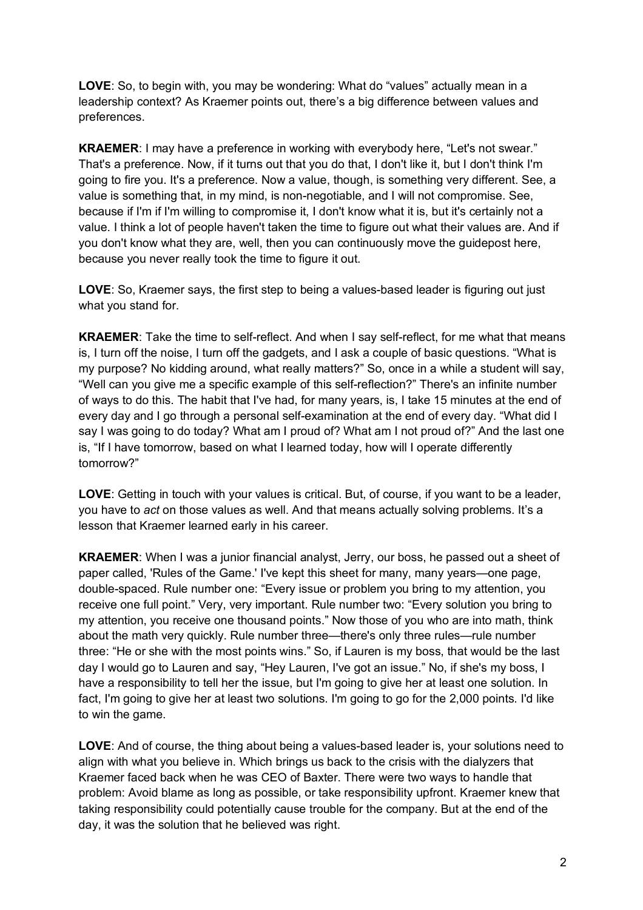**LOVE**: So, to begin with, you may be wondering: What do "values" actually mean in a leadership context? As Kraemer points out, there's a big difference between values and preferences.

**KRAEMER**: I may have a preference in working with everybody here, "Let's not swear." That's a preference. Now, if it turns out that you do that, I don't like it, but I don't think I'm going to fire you. It's a preference. Now a value, though, is something very different. See, a value is something that, in my mind, is non-negotiable, and I will not compromise. See, because if I'm if I'm willing to compromise it, I don't know what it is, but it's certainly not a value. I think a lot of people haven't taken the time to figure out what their values are. And if you don't know what they are, well, then you can continuously move the guidepost here, because you never really took the time to figure it out.

**LOVE**: So, Kraemer says, the first step to being a values-based leader is figuring out just what you stand for.

**KRAEMER**: Take the time to self-reflect. And when I say self-reflect, for me what that means is, I turn off the noise, I turn off the gadgets, and I ask a couple of basic questions. "What is my purpose? No kidding around, what really matters?" So, once in a while a student will say, "Well can you give me a specific example of this self-reflection?" There's an infinite number of ways to do this. The habit that I've had, for many years, is, I take 15 minutes at the end of every day and I go through a personal self-examination at the end of every day. "What did I say I was going to do today? What am I proud of? What am I not proud of?" And the last one is, "If I have tomorrow, based on what I learned today, how will I operate differently tomorrow?"

**LOVE**: Getting in touch with your values is critical. But, of course, if you want to be a leader, you have to *act* on those values as well. And that means actually solving problems. It's a lesson that Kraemer learned early in his career.

**KRAEMER**: When I was a junior financial analyst, Jerry, our boss, he passed out a sheet of paper called, 'Rules of the Game.' I've kept this sheet for many, many years—one page, double-spaced. Rule number one: "Every issue or problem you bring to my attention, you receive one full point." Very, very important. Rule number two: "Every solution you bring to my attention, you receive one thousand points." Now those of you who are into math, think about the math very quickly. Rule number three—there's only three rules—rule number three: "He or she with the most points wins." So, if Lauren is my boss, that would be the last day I would go to Lauren and say, "Hey Lauren, I've got an issue." No, if she's my boss, I have a responsibility to tell her the issue, but I'm going to give her at least one solution. In fact, I'm going to give her at least two solutions. I'm going to go for the 2,000 points. I'd like to win the game.

**LOVE**: And of course, the thing about being a values-based leader is, your solutions need to align with what you believe in. Which brings us back to the crisis with the dialyzers that Kraemer faced back when he was CEO of Baxter. There were two ways to handle that problem: Avoid blame as long as possible, or take responsibility upfront. Kraemer knew that taking responsibility could potentially cause trouble for the company. But at the end of the day, it was the solution that he believed was right.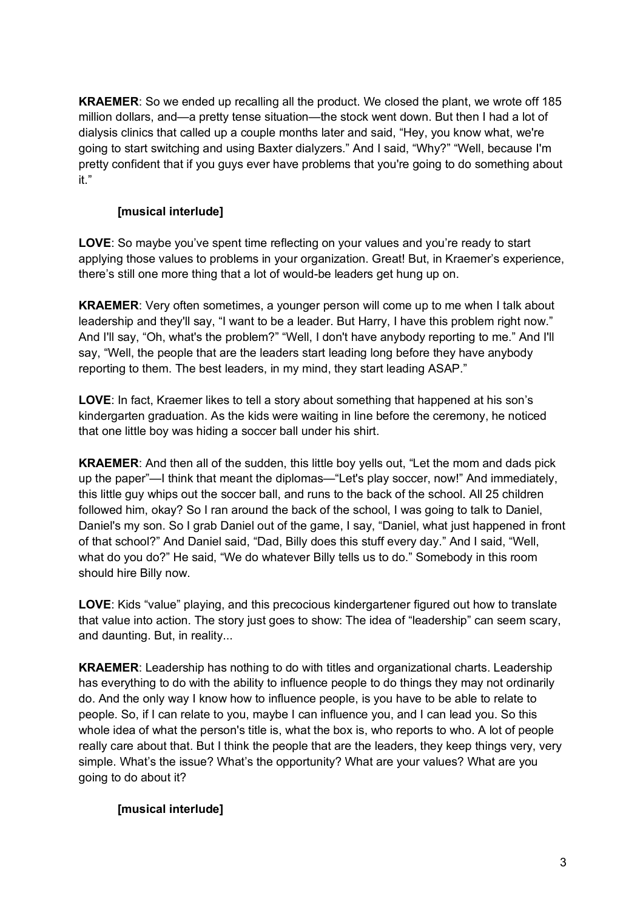**KRAEMER**: So we ended up recalling all the product. We closed the plant, we wrote off 185 million dollars, and—a pretty tense situation—the stock went down. But then I had a lot of dialysis clinics that called up a couple months later and said, "Hey, you know what, we're going to start switching and using Baxter dialyzers." And I said, "Why?" "Well, because I'm pretty confident that if you guys ever have problems that you're going to do something about it."

## **[musical interlude]**

**LOVE**: So maybe you've spent time reflecting on your values and you're ready to start applying those values to problems in your organization. Great! But, in Kraemer's experience, there's still one more thing that a lot of would-be leaders get hung up on.

**KRAEMER**: Very often sometimes, a younger person will come up to me when I talk about leadership and they'll say, "I want to be a leader. But Harry, I have this problem right now." And I'll say, "Oh, what's the problem?" "Well, I don't have anybody reporting to me." And I'll say, "Well, the people that are the leaders start leading long before they have anybody reporting to them. The best leaders, in my mind, they start leading ASAP."

**LOVE**: In fact, Kraemer likes to tell a story about something that happened at his son's kindergarten graduation. As the kids were waiting in line before the ceremony, he noticed that one little boy was hiding a soccer ball under his shirt.

**KRAEMER**: And then all of the sudden, this little boy yells out, "Let the mom and dads pick up the paper"—I think that meant the diplomas—"Let's play soccer, now!" And immediately, this little guy whips out the soccer ball, and runs to the back of the school. All 25 children followed him, okay? So I ran around the back of the school, I was going to talk to Daniel, Daniel's my son. So I grab Daniel out of the game, I say, "Daniel, what just happened in front of that school?" And Daniel said, "Dad, Billy does this stuff every day." And I said, "Well, what do you do?" He said, "We do whatever Billy tells us to do." Somebody in this room should hire Billy now.

**LOVE**: Kids "value" playing, and this precocious kindergartener figured out how to translate that value into action. The story just goes to show: The idea of "leadership" can seem scary, and daunting. But, in reality...

**KRAEMER**: Leadership has nothing to do with titles and organizational charts. Leadership has everything to do with the ability to influence people to do things they may not ordinarily do. And the only way I know how to influence people, is you have to be able to relate to people. So, if I can relate to you, maybe I can influence you, and I can lead you. So this whole idea of what the person's title is, what the box is, who reports to who. A lot of people really care about that. But I think the people that are the leaders, they keep things very, very simple. What's the issue? What's the opportunity? What are your values? What are you going to do about it?

## **[musical interlude]**